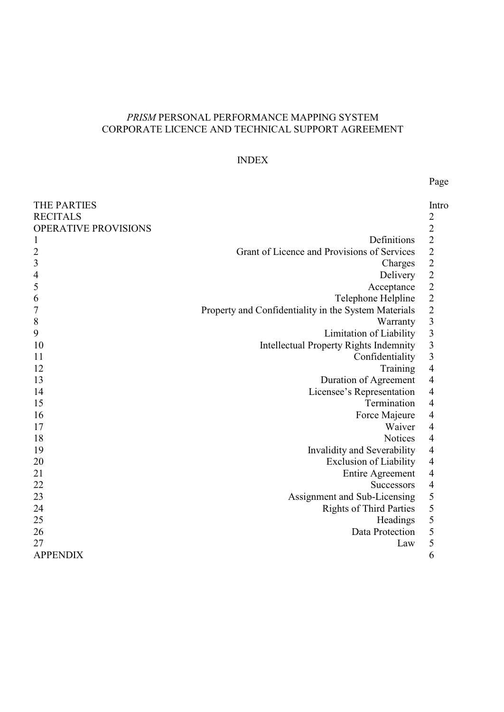# *PRISM* PERSONAL PERFORMANCE MAPPING SYSTEM CORPORATE LICENCE AND TECHNICAL SUPPORT AGREEMENT

## INDEX

# Page

| <b>THE PARTIES</b><br><b>RECITALS</b> |                                                      | Intro<br>$\overline{c}$  |
|---------------------------------------|------------------------------------------------------|--------------------------|
| OPERATIVE PROVISIONS                  |                                                      | $\frac{2}{2}$            |
| 1                                     | Definitions                                          |                          |
| $\overline{c}$                        | Grant of Licence and Provisions of Services          | $2222$<br>$222$<br>$3$   |
| 3                                     | Charges                                              |                          |
| $\overline{4}$                        | Delivery                                             |                          |
| 5                                     | Acceptance                                           |                          |
| 6                                     | Telephone Helpline                                   |                          |
| 7                                     | Property and Confidentiality in the System Materials |                          |
| $\,$ $\,$                             | Warranty                                             |                          |
| 9                                     | Limitation of Liability                              |                          |
| 10                                    | <b>Intellectual Property Rights Indemnity</b>        | $\frac{3}{3}$            |
| 11                                    | Confidentiality                                      | $\overline{\mathbf{3}}$  |
| 12                                    | Training                                             | $\overline{\mathcal{A}}$ |
| 13                                    | Duration of Agreement                                | $\overline{4}$           |
| 14                                    | Licensee's Representation                            | $\overline{4}$           |
| 15                                    | Termination                                          | $\overline{4}$           |
| 16                                    | Force Majeure                                        | $\overline{\mathcal{A}}$ |
| 17                                    | Waiver                                               | $\overline{\mathcal{L}}$ |
| 18                                    | <b>Notices</b>                                       | $\overline{4}$           |
| 19                                    | Invalidity and Severability                          | $\overline{4}$           |
| 20                                    | <b>Exclusion of Liability</b>                        | $\overline{4}$           |
| 21                                    | Entire Agreement                                     | $\overline{\mathcal{A}}$ |
| 22                                    | <b>Successors</b>                                    | $\overline{4}$           |
| 23                                    | Assignment and Sub-Licensing                         | 5                        |
| 24                                    | <b>Rights of Third Parties</b>                       | 5                        |
| 25                                    | Headings                                             | $\overline{5}$           |
| 26                                    | Data Protection                                      | 5                        |
| 27                                    | Law                                                  | 5                        |
| <b>APPENDIX</b>                       |                                                      | 6                        |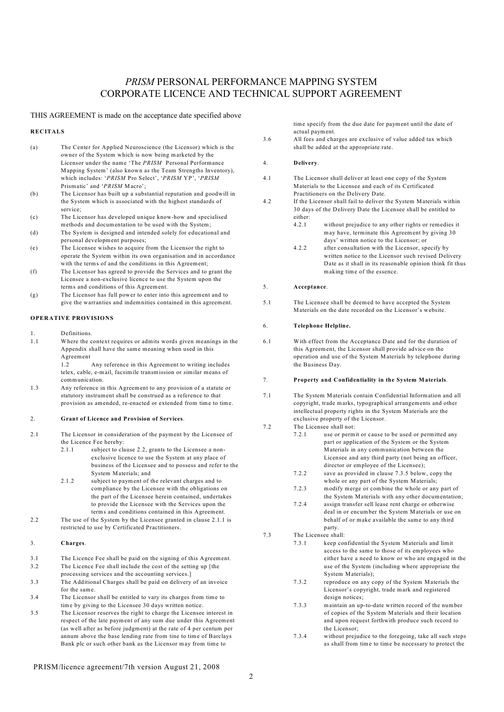## *PRISM* PERSONAL PERFORMANCE MAPPING SYSTEM CORPORATE LICENCE AND TECHNICAL SUPPORT AGREEMENT

#### THIS AGREEMENT is made on the acceptance date specified above

#### **RECITALS**

- (a) The Center for Applied Neuroscience (the Licensor) which is the owner of the System which is now being marketed by the Licensor under the name 'The *PRISM* Personal Performance Mapping System' (also known as the Team Strengths Inventory), which includes: '*PRISM* Pro Select', '*PRISM* YP', '*PRISM* Prismatic' and '*PRISM* Macro';
- (b) The Licensor has built up a substantial reputation and goodwill in the System which is associated with the highest standards of service;
- (c) The Licensor has developed unique know-how and specialised methods and documentation to be used with the System;
- (d) The System is designed and intended solely for educational and personal development purposes;
- (e) The Licensee wishes to acquire from the Licensor the right to operate the System within its own organisation and in accordance with the terms of and the conditions in this Agreement;
- (f) The Licensor has agreed to provide the Services and to grant the Licensee a non-exclusive licence to use the System upon the terms and conditions of this Agreement.
- (g) The Licensor has full power to enter into this agreement and to give the warranties and indemnities contained in this agreement.

### **OPERATIVE PROVISIONS**

- 1. Definitions.
- 1.1 Where the context requires or admits words given meanings in the Appendix shall have the same meaning when used in this Agreement

1.2 Any reference in this Agreement to writing includes telex, cable, e-mail, facsimile transmission or similar means of communication.

1.3 Any reference in this Agreement to any provision of a statute or statutory instrument shall be construed as a reference to that provision as amended, re-enacted or extended from time to time.

#### 2. **Grant of Licence and Provision of Services**.

- 2.1 The Licensor in consideration of the payment by the Licensee of the Licence Fee hereby:
	- 2.1.1 subject to clause 2.2, grants to the Licensee a nonexclusive licence to use the System at any place of business of the Licensee and to possess and refer to the System Materials; and
	- 2.1.2 subject to payment of the relevant charges and to compliance by the Licensee with the obligations on the part of the Licensee herein contained, undertakes to provide the Licensee with the Services upon the terms and conditions contained in this Agreement.
- 2.2 The use of the System by the Licensee granted in clause 2.1.1 is restricted to use by Certificated Practitioners.
- 3. **Charges**.
- 3.1 The Licence Fee shall be paid on the signing of this Agreement.
- 3.2 The Licence Fee shall include the cost of the setting up [the processing services and the accounting services.]
- 3.3 The Additional Charges shall be paid on delivery of an invoice for the same.
- 3.4 The Licensor shall be entitled to vary its charges from time to time by giving to the Licensee 30 days written notice.
- 3.5 The Licensor reserves the right to charge the Licensee interest in respect of the late payment of any sum due under this Agreement (as well after as before judgment) at the rate of 4 per centum per annum above the base lending rate from tine to time of Barclays Bank plc or such other bank as the Licensor may from time to

time specify from the due date for payment until the date of actual payment.

3.6 All fees and charges are exclusive of value added tax which shall be added at the appropriate rate.

#### 4. **Delivery**.

- 4.1 The Licensor shall deliver at least one copy of the System Materials to the Licensee and each of its Certificated Practitioners on the Delivery Date.
- 4.2 If the Licensor shall fail to deliver the System Materials within 30 days of the Delivery Date the Licensee shall be entitled to either:
	- 4.2.1 without prejudice to any other rights or remedies it may have, terminate this Agreement by giving 30 days' written notice to the Licensor; or
	- 4.2.2 after consultation with the Licensor, specify by written notice to the Licensor such revised Delivery Date as it shall in its reasonable opinion think fit thus making time of the essence.

#### 5. **Acceptance**.

5.1 The Licensee shall be deemed to have accepted the System Materials on the date recorded on the Licensor's website.

#### 6. **Telephone Helpline.**

6.1 With effect from the Acceptance Date and for the duration of this Agreement, the Licensor shall provide advice on the operation and use of the System Materials by telephone during the Business Day.

#### 7. **Property and Confidentiality in the System Materials**.

- 7.1 The System Materials contain Confidential Information and all copyright, trade marks, typographical arrangements and other intellectual property rights in the System Materials are the exclusive property of the Licensor.
- 7.2 The Licensee shall not:
	- 7.2.1 use or permit or cause to be used or permitted any part or application of the System or the System Materials in any communication between the Licensee and any third party (not being an officer, director or employee of the Licensee);
	- 7.2.2 save as provided in clause 7.3.5 below, copy the whole or any part of the System Materials;
	- 7.2.3 modify merge or combine the whole or any part of the System Materials with any other documentation;
	- 7.2.4 assign transfer sell lease rent charge or otherwise deal in or encumber the System Materials or use on behalf of or make available the same to any third party.
- 7.3 The Licensee shall:
	- 7.3.1 keep confidential the System Materials and limit access to the same to those of its employees who either have a need to know or who are engaged in the use of the System (including where appropriate the System Materials);
		- 7.3.2 reproduce on any copy of the System Materials the Licensor's copyright, trade mark and registered design notices;
		- 7.3.3 maintain an up-to-date written record of the number of copies of the System Materials and their location and upon request forthwith produce such record to the Licensor;
		- 7.3.4 without prejudice to the foregoing, take all such steps as shall from time to time be necessary to protect the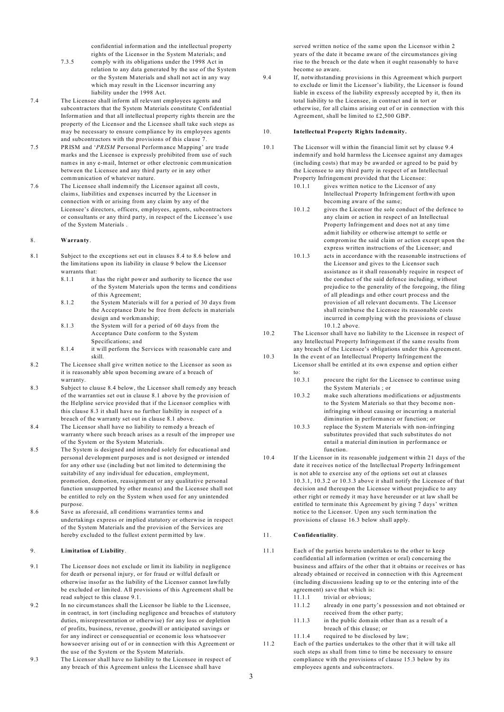confidential information and the intellectual property rights of the Licensor in the System Materials; and

- 7.3.5 comply with its obligations under the 1998 Act in relation to any data generated by the use of the System or the System Materials and shall not act in any way which may result in the Licensor incurring any liability under the 1998 Act.
- 7.4 The Licensee shall inform all relevant employees agents and subcontractors that the System Materials constitute Confidential Information and that all intellectual property rights therein are the property of the Licensor and the Licensee shall take such steps as may be necessary to ensure compliance by its employees agents and subcontractors with the provisions of this clause 7.
- 7.5 PRISM and '*PRISM* Personal Performance Mapping' are trade marks and the Licensee is expressly prohibited from use of such names in any e-mail, Internet or other electronic communication between the Licensee and any third party or in any other communication of whatever nature.
- 7.6 The Licensee shall indemnify the Licensor against all costs, claims, liabilities and expenses incurred by the Licensor in connection with or arising from any claim by any of the Licensee's directors, officers, employees, agents, subcontractors or consultants or any third party, in respect of the Licensee's use of the System Materials .

#### 8. **Warranty**.

- 8.1 Subject to the exceptions set out in clauses 8.4 to 8.6 below and the limitations upon its liability in clause 9 below the Licensor warrants that:
	- 8.1.1 it has the right power and authority to licence the use of the System Materials upon the terms and conditions of this Agreement;
	- 8.1.2 the System Materials will for a period of 30 days from the Acceptance Date be free from defects in materials design and workmanship;
	- 8.1.3 the System will for a period of 60 days from the Acceptance Date conform to the System Specifications; and
	- 8.1.4 it will perform the Services with reasonable care and skill.
- 8.2 The Licensee shall give written notice to the Licensor as soon as it is reasonably able upon becoming aware of a breach of warranty.
- 8.3 Subject to clause 8.4 below, the Licensor shall remedy any breach of the warranties set out in clause 8.1 above by the provision of the Helpline service provided that if the Licensor complies with this clause 8.3 it shall have no further liability in respect of a breach of the warranty set out in clause 8.1 above.
- 8.4 The Licensor shall have no liability to remedy a breach of warranty where such breach arises as a result of the improper use of the System or the System Materials.
- 8.5 The System is designed and intended solely for educational and personal development purposes and is not designed or intended for any other use (including but not limited to determining the suitability of any individual for education, employment, promotion, demotion, reassignment or any qualitative personal function unsupported by other means) and the Licensee shall not be entitled to rely on the System when used for any unintended purpose.
- 8.6 Save as aforesaid, all conditions warranties terms and undertakings express or implied statutory or otherwise in respect of the System Materials and the provision of the Services are hereby excluded to the fullest extent permitted by law.

## 9. **Limitation of Liability**.

- 9.1 The Licensor does not exclude or limit its liability in negligence for death or personal injury, or for fraud or wilful default or otherwise insofar as the liability of the Licensor cannot lawfully be excluded or limited. All provisions of this Agreement shall be read subject to this clause 9.1.
- 9.2 In no circumstances shall the Licensor be liable to the Licensee, in contract, in tort (including negligence and breaches of statutory duties, misrepresentation or otherwise) for any loss or depletion of profits, business, revenue, goodwill or anticipated savings or for any indirect or consequential or economic loss whatsoever howsoever arising out of or in connection with this Agreement or the use of the System or the System Materials.
- 9.3 The Licensor shall have no liability to the Licensee in respect of any breach of this Agreement unless the Licensee shall have

served written notice of the same upon the Licensor within 2 years of the date it became aware of the circumstances giving rise to the breach or the date when it ought reasonably to have become so aware.

9.4 If, notwithstanding provisions in this Agreement which purport to exclude or limit the Licensor's liability, the Licensor is found liable in excess of the liability expressly accepted by it, then its total liability to the Licensee, in contract and in tort or otherwise, for all claims arising out of or in connection with this Agreement, shall be limited to £2,500 GBP.

## 10. **Intellectual Property Rights Indemnity.**

- 10.1 The Licensor will within the financial limit set by clause 9.4 indemnify and hold harmless the Licensee against any damages (including costs) that may be awarded or agreed to be paid by the Licensee to any third party in respect of an Intellectual Property Infringement provided that the Licensee:
	- 10.1.1 gives written notice to the Licensor of any Intellectual Property Infringement forthwith upon becoming aware of the same;
	- 10.1.2 gives the Licensor the sole conduct of the defence to any claim or action in respect of an Intellectual Property Infringement and does not at any time admit liability or otherwise attempt to settle or compromise the said claim or action except upon the express written instructions of the Licensor; and
	- 10.1.3 acts in accordance with the reasonable instructions of the Licensor and gives to the Licensor such assistance as it shall reasonably require in respect of the conduct of the said defence including, without prejudice to the generality of the foregoing, the filing of all pleadings and other court process and the provision of all relevant documents. The Licensor shall reimburse the Licensee its reasonable costs incurred in complying with the provisions of clause 10.1.2 above.
- 10.2 The Licensor shall have no liability to the Licensee in respect of any Intellectual Property Infringement if the same results from any breach of the Licensee's obligations under this Agreement.
- 10.3 In the event of an Intellectual Property Infringement the Licensor shall be entitled at its own expense and option either to:
	- 10.3.1 procure the right for the Licensee to continue using the System Materials ; or
	- 10.3.2 make such alterations modifications or adjustments to the System Materials so that they become noninfringing without causing or incurring a material diminution in performance or function; or
	- 10.3.3 replace the System Materials with non-infringing substitutes provided that such substitutes do not entail a material diminution in performance or function.
- 10.4 If the Licensor in its reasonable judgement within 21 days of the date it receives notice of the Intellectual Property Infringement is not able to exercise any of the options set out at clauses 10.3.1, 10.3.2 or 10.3.3 above it shall notify the Licensee of that decision and thereupon the Licensee without prejudice to any other right or remedy it may have hereunder or at law shall be entitled to terminate this Agreement by giving 7 days' written notice to the Licensor. Upon any such termination the provisions of clause 16.3 below shall apply.

## 11. **Confidentiality**.

- 11.1 Each of the parties hereto undertakes to the other to keep confidential all information (written or oral) concerning the business and affairs of the other that it obtains or receives or has already obtained or received in connection with this Agreement (including discussions leading up to or the entering into of the agreement) save that which is:
	- 11.1.1 trivial or obvious:
	- 11.1.2 already in one party's possession and not obtained or received from the other party;
	- 11.1.3 in the public domain other than as a result of a breach of this clause; or
	- 11.1.4 required to be disclosed by law;
- 11.2 Each of the parties undertakes to the other that it will take all such steps as shall from time to time be necessary to ensure compliance with the provisions of clause 15.3 below by its employees agents and subcontractors.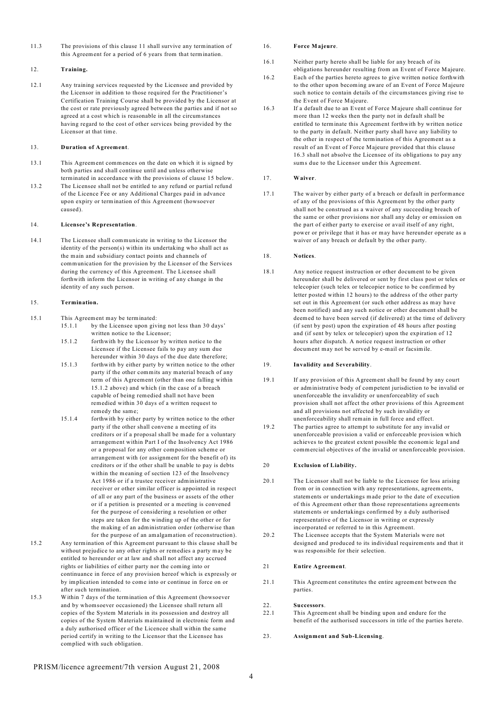11.3 The provisions of this clause 11 shall survive any termination of this Agreement for a period of 6 years from that termination.

#### 12. **Training.**

12.1 Any training services requested by the Licensee and provided by the Licensor in addition to those required for the Practitioner's Certification Training Course shall be provided by the Licensor at the cost or rate previously agreed between the parties and if not so agreed at a cost which is reasonable in all the circumstances having regard to the cost of other services being provided by the Licensor at that time.

### 13. **Duration of Agreement**.

- 13.1 This Agreement commences on the date on which it is signed by both parties and shall continue until and unless otherwise terminated in accordance with the provisions of clause 15 below.
- 13.2 The Licensee shall not be entitled to any refund or partial refund of the Licence Fee or any Additional Charges paid in advance upon expiry or termination of this Agreement (howsoever caused).

#### 14. **Licensee's Representation**.

14.1 The Licensee shall communicate in writing to the Licensor the identity of the person(s) within its undertaking who shall act as the main and subsidiary contact points and channels of communication for the provision by the Licensor of the Services during the currency of this Agreement. The Licensee shall forthwith inform the Licensor in writing of any change in the identity of any such person.

#### 15. **Termination.**

- 15.1 This Agreement may be terminated:
	- 15.1.1 by the Licensee upon giving not less than 30 days' written notice to the Licensor;
	- 15.1.2 forthwith by the Licensor by written notice to the Licensee if the Licensee fails to pay any sum due hereunder within 30 days of the due date therefore;
	- 15.1.3 forthwith by either party by written notice to the other party if the other commits any material breach of any term of this Agreement (other than one falling within 15.1.2 above) and which (in the case of a breach capable of being remedied shall not have been remedied within 30 days of a written request to remedy the same;
	- 15.1.4 forthwith by either party by written notice to the other party if the other shall convene a meeting of its creditors or if a proposal shall be made for a voluntary arrangement within Part I of the Insolvency Act 1986 or a proposal for any other composition scheme or arrangement with (or assignment for the benefit of) its creditors or if the other shall be unable to pay is debts within the meaning of section 123 of the Insolvency Act 1986 or if a trustee receiver administrative receiver or other similar officer is appointed in respect of all or any part of the business or assets of the other or if a petition is presented or a meeting is convened for the purpose of considering a resolution or other steps are taken for the winding up of the other or for the making of an administration order (otherwise than for the purpose of an amalgamation of reconstruction).
- 15.2 Any termination of this Agreement pursuant to this clause shall be without prejudice to any other rights or remedies a party may be entitled to hereunder or at law and shall not affect any accrued rights or liabilities of either party nor the coming into or continuance in force of any provision hereof which is expressly or by implication intended to come into or continue in force on or after such termination.
- 15.3 Within 7 days of the termination of this Agreement (howsoever and by whomsoever occasioned) the Licensee shall return all copies of the System Materials in its possession and destroy all copies of the System Materials maintained in electronic form and a duly authorised officer of the Licencee shall within the same period certify in writing to the Licensor that the Licensee has complied with such obligation.

#### 16. **Force Majeure**.

- 16.1 Neither party hereto shall be liable for any breach of its
- obligations hereunder resulting from an Event of Force Majeure. 16.2 Each of the parties hereto agrees to give written notice forthwith to the other upon becoming aware of an Event of Force Majeure such notice to contain details of the circumstances giving rise to the Event of Force Majeure.
- 16.3 If a default due to an Event of Force Majeure shall continue for more than 12 weeks then the party not in default shall be entitled to terminate this Agreement forthwith by written notice to the party in default. Neither party shall have any liability to the other in respect of the termination of this Agreement as a result of an Event of Force Majeure provided that this clause 16.3 shall not absolve the Licensee of its obligations to pay any sums due to the Licensor under this Agreement.

#### 17. **Waiver**.

17.1 The waiver by either party of a breach or default in performance of any of the provisions of this Agreement by the other party shall not be construed as a waiver of any succeeding breach of the same or other provisions nor shall any delay or omission on the part of either party to exercise or avail itself of any right, power or privilege that it has or may have hereunder operate as a waiver of any breach or default by the other party.

#### 18. **Notices**.

18.1 Any notice request instruction or other document to be given hereunder shall be delivered or sent by first class post or telex or telecopier (such telex or telecopier notice to be confirmed by letter posted within 12 hours) to the address of the other party set out in this Agreement (or such other address as may have been notified) and any such notice or other document shall be deemed to have been served (if delivered) at the time of delivery (if sent by post) upon the expiration of 48 hours after posting and (if sent by telex or telecopier) upon the expiration of 12 hours after dispatch. A notice request instruction or other document may not be served by e-mail or facsimile.

#### 19. **Invalidity and Severability**.

- 19.1 If any provision of this Agreement shall be found by any court or administrative body of competent jurisdiction to be invalid or unenforceable the invalidity or unenforceablity of such provision shall not affect the other provisions of this Agreement and all provisions not affected by such invalidity or unenforceability shall remain in full force and effect.
- 19.2 The parties agree to attempt to substitute for any invalid or unenforceable provision a valid or enforceable provision which achieves to the greatest extent possible the economic legal and commercial objectives of the invalid or unenforceable provision.

#### 20 **Exclusion of Liability.**

- 20.1 The Licensor shall not be liable to the Licensee for loss arising from or in connection with any representations, agreements, statements or undertakings made prior to the date of execution of this Agreement other than those representations agreements statements or undertakings confirmed by a duly authorised representative of the Licensor in writing or expressly incorporated or referred to in this Agreement.
- 20.2 The Licensee accepts that the System Materials were not designed and produced to its individual requirements and that it was responsible for their selection.

#### 21 **Entire Agreement**.

21.1 This Agreement constitutes the entire agreement between the parties.

#### 22. **Successors**.

22.1 This Agreement shall be binding upon and endure for the benefit of the authorised successors in title of the parties hereto.

#### 23. **Assignment and Sub-Licensing**.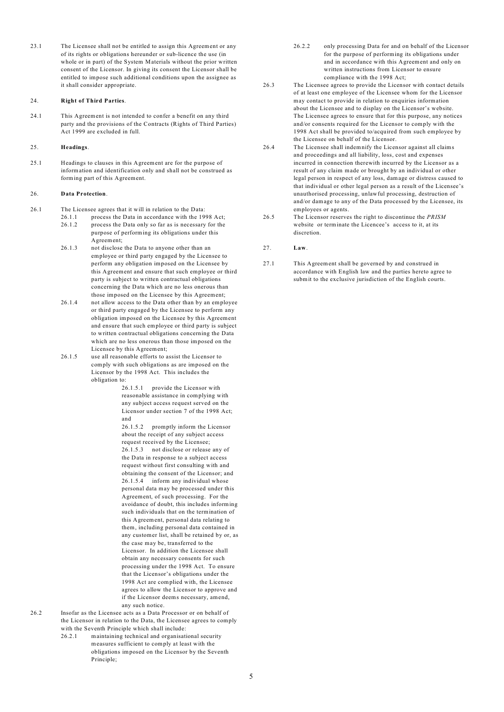23.1 The Licensee shall not be entitled to assign this Agreement or any of its rights or obligations hereunder or sub-licence the use (in whole or in part) of the System Materials without the prior written consent of the Licensor. In giving its consent the Licensor shall be entitled to impose such additional conditions upon the assignee as it shall consider appropriate.

#### 24. **Right of Third Parties**.

24.1 This Agreement is not intended to confer a benefit on any third party and the provisions of the Contracts (Rights of Third Parties) Act 1999 are excluded in full.

## 25. **Headings**.

25.1 Headings to clauses in this Agreement are for the purpose of information and identification only and shall not be construed as forming part of this Agreement.

#### 26. **Data Protection**.

- 26.1 The Licensee agrees that it will in relation to the Data:
	- 26.1.1 process the Data in accordance with the 1998 Act; 26.1.2 process the Data only so far as is necessary for the purpose of performing its obligations under this Agreement;
	- 26.1.3 not disclose the Data to anyone other than an employee or third party engaged by the Licensee to perform any obligation imposed on the Licensee by this Agreement and ensure that such employee or third party is subject to written contractual obligations concerning the Data which are no less onerous than those imposed on the Licensee by this Agreement;
	- 26.1.4 not allow access to the Data other than by an employee or third party engaged by the Licensee to perform any obligation imposed on the Licensee by this Agreement and ensure that such employee or third party is subject to written contractual obligations concerning the Data which are no less onerous than those imposed on the Licensee by this Agreement;
	- 26.1.5 use all reasonable efforts to assist the Licensor to comply with such obligations as are imposed on the Licensor by the 1998 Act. This includes the obligation to:

26.1.5.1 provide the Licensor with reasonable assistance in complying with any subject access request served on the Licensor under section 7 of the 1998 Act; and

26.1.5.2 promptly inform the Licensor about the receipt of any subject access request received by the Licensee; 26.1.5.3 not disclose or release any of the Data in response to a subject access request without first consulting with and obtaining the consent of the Licensor; and 26.1.5.4 inform any individual whose personal data may be processed under this Agreement, of such processing. For the avoidance of doubt, this includes informing such individuals that on the termination of this Agreement, personal data relating to them, including personal data contained in any customer list, shall be retained by or, as the case may be, transferred to the Licensor. In addition the Licensee shall obtain any necessary consents for such processing under the 1998 Act. To ensure that the Licensor's obligations under the 1998 Act are complied with, the Licensee agrees to allow the Licensor to approve and if the Licensor deems necessary, amend, any such notice.

26.2 Insofar as the Licensee acts as a Data Processor or on behalf of the Licensor in relation to the Data, the Licensee agrees to comply with the Seventh Principle which shall include:

> 26.2.1 maintaining technical and organisational security measures sufficient to comply at least with the obligations imposed on the Licensor by the Seventh Principle;

- 26.2.2 only processing Data for and on behalf of the Licensor for the purpose of performing its obligations under and in accordance with this Agreement and only on written instructions from Licensor to ensure compliance with the 1998 Act;
- 26.3 The Licensee agrees to provide the Licensor with contact details of at least one employee of the Licensee whom for the Licensor may contact to provide in relation to enquiries information about the Licensee and to display on the Licensor's website. The Licensee agrees to ensure that for this purpose, any notices and/or consents required for the Licensor to comply with the 1998 Act shall be provided to/acquired from such employee by the Licensee on behalf of the Licensor.
- 26.4 The Licensee shall indemnify the Licensor against all claims and proceedings and all liability, loss, cost and expenses incurred in connection therewith incurred by the Licensor as a result of any claim made or brought by an individual or other legal person in respect of any loss, damage or distress caused to that individual or other legal person as a result of the Licensee's unauthorised processing, unlawful processing, destruction of and/or damage to any of the Data processed by the Licensee, its employees or agents.
- 26.5 The Licensor reserves the right to discontinue the *PRISM* website or terminate the Licencee's access to it, at its discretion.
- 27. **Law**.
- 27.1 This Agreement shall be governed by and construed in accordance with English law and the parties hereto agree to submit to the exclusive jurisdiction of the English courts.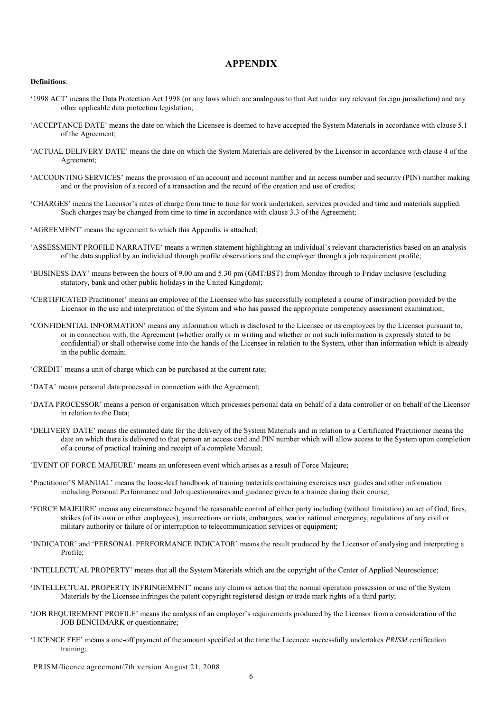## **APPENDIX**

## **Definitions**:

- '1998 ACT' means the Data Protection Act 1998 (or any laws which are analogous to that Act under any relevant foreign jurisdiction) and any other applicable data protection legislation;
- 'ACCEPTANCE DATE' means the date on which the Licensee is deemed to have accepted the System Materials in accordance with clause 5.1 of the Agreement;
- 'ACTUAL DELIVERY DATE' means the date on which the System Materials are delivered by the Licensor in accordance with clause 4 of the Agreement;
- 'ACCOUNTING SERVICES' means the provision of an account and account number and an access number and security (PIN) number making and or the provision of a record of a transaction and the record of the creation and use of credits;
- 'CHARGES' means the Licensor's rates of charge from time to time for work undertaken, services provided and time and materials supplied. Such charges may be changed from time to time in accordance with clause 3.3 of the Agreement;
- 'AGREEMENT' means the agreement to which this Appendix is attached;
- 'ASSESSMENT PROFILE NARRATIVE' means a written statement highlighting an individual's relevant characteristics based on an analysis of the data supplied by an individual through profile observations and the employer through a job requirement profile;
- 'BUSINESS DAY' means between the hours of 9.00 am and 5.30 pm (GMT/BST) from Monday through to Friday inclusive (excluding statutory, bank and other public holidays in the United Kingdom);
- 'CERTIFICATED Practitioner' means an employee of the Licensee who has successfully completed a course of instruction provided by the Licensor in the use and interpretation of the System and who has passed the appropriate competency assessment examination;
- 'CONFIDENTIAL INFORMATION' means any information which is disclosed to the Licensee or its employees by the Licensor pursuant to, or in connection with, the Agreement (whether orally or in writing and whether or not such information is expressly stated to be confidential) or shall otherwise come into the hands of the Licensee in relation to the System, other than information which is already in the public domain;
- 'CREDIT' means a unit of charge which can be purchased at the current rate;
- 'DATA' means personal data processed in connection with the Agreement;
- 'DATA PROCESSOR' means a person or organisation which processes personal data on behalf of a data controller or on behalf of the Licensor in relation to the Data;
- 'DELIVERY DATE' means the estimated date for the delivery of the System Materials and in relation to a Certificated Practitioner means the date on which there is delivered to that person an access card and PIN number which will allow access to the System upon completion of a course of practical training and receipt of a complete Manual;
- 'EVENT OF FORCE MAJEURE' means an unforeseen event which arises as a result of Force Majeure;
- 'Practitioner'S MANUAL' means the loose-leaf handbook of training materials containing exercises user guides and other information including Personal Performance and Job questionnaires and guidance given to a trainee during their course;
- 'FORCE MAJEURE' means any circumstance beyond the reasonable control of either party including (without limitation) an act of God, fires, strikes (of its own or other employees), insurrections or riots, embargoes, war or national emergency, regulations of any civil or military authority or failure of or interruption to telecommunication services or equipment;
- 'INDICATOR' and 'PERSONAL PERFORMANCE INDICATOR' means the result produced by the Licensor of analysing and interpreting a Profile;
- 'INTELLECTUAL PROPERTY' means that all the System Materials which are the copyright of the Center of Applied Neuroscience;
- 'INTELLECTUAL PROPERTY INFRINGEMENT' means any claim or action that the normal operation possession or use of the System Materials by the Licensee infringes the patent copyright registered design or trade mark rights of a third party;
- 'JOB REQUIREMENT PROFILE' means the analysis of an employer's requirements produced by the Licensor from a consideration of the JOB BENCHMARK or questionnaire;
- 'LICENCE FEE' means a one-off payment of the amount specified at the time the Licencee successfully undertakes *PRISM* certification training;

PRISM/licence agreement/7th version August 21, 2008